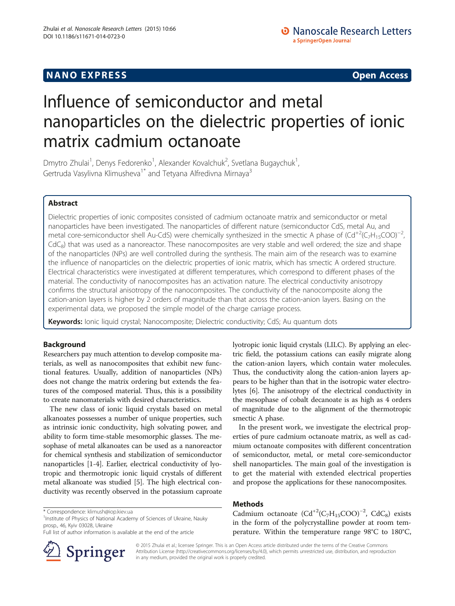## **NANO EXPRESS** Open Access and the set of the set of the set of the set of the set of the set of the set of the set of the set of the set of the set of the set of the set of the set of the set of the set of the set of the

# Influence of semiconductor and metal nanoparticles on the dielectric properties of ionic matrix cadmium octanoate

Dmytro Zhulai<sup>1</sup>, Denys Fedorenko<sup>1</sup>, Alexander Kovalchuk<sup>2</sup>, Svetlana Bugaychuk<sup>1</sup> , Gertruda Vasylivna Klimusheva<sup>1\*</sup> and Tetyana Alfredivna Mirnaya<sup>3</sup>

## Abstract

Dielectric properties of ionic composites consisted of cadmium octanoate matrix and semiconductor or metal nanoparticles have been investigated. The nanoparticles of different nature (semiconductor CdS, metal Au, and metal core-semiconductor shell Au-CdS) were chemically synthesized in the smectic A phase of (Cd<sup>+2</sup>(C<sub>7</sub>H<sub>15</sub>COO)<sup>-2</sup> ,  $CdC<sub>8</sub>$ ) that was used as a nanoreactor. These nanocomposites are very stable and well ordered; the size and shape of the nanoparticles (NPs) are well controlled during the synthesis. The main aim of the research was to examine the influence of nanoparticles on the dielectric properties of ionic matrix, which has smectic A ordered structure. Electrical characteristics were investigated at different temperatures, which correspond to different phases of the material. The conductivity of nanocomposites has an activation nature. The electrical conductivity anisotropy confirms the structural anisotropy of the nanocomposites. The conductivity of the nanocomposite along the cation-anion layers is higher by 2 orders of magnitude than that across the cation-anion layers. Basing on the experimental data, we proposed the simple model of the charge carriage process.

Keywords: Ionic liquid crystal; Nanocomposite; Dielectric conductivity; CdS; Au quantum dots

### Background

Researchers pay much attention to develop composite materials, as well as nanocomposites that exhibit new functional features. Usually, addition of nanoparticles (NPs) does not change the matrix ordering but extends the features of the composed material. Thus, this is a possibility to create nanomaterials with desired characteristics.

The new class of ionic liquid crystals based on metal alkanoates possesses a number of unique properties, such as intrinsic ionic conductivity, high solvating power, and ability to form time-stable mesomorphic glasses. The mesophase of metal alkanoates can be used as a nanoreactor for chemical synthesis and stabilization of semiconductor nanoparticles [\[1-4](#page-5-0)]. Earlier, electrical conductivity of lyotropic and thermotropic ionic liquid crystals of different metal alkanoate was studied [[5](#page-5-0)]. The high electrical conductivity was recently observed in the potassium caproate

Full list of author information is available at the end of the article



lyotropic ionic liquid crystals (LILC). By applying an electric field, the potassium cations can easily migrate along the cation-anion layers, which contain water molecules. Thus, the conductivity along the cation-anion layers appears to be higher than that in the isotropic water electrolytes [[6](#page-5-0)]. The anisotropy of the electrical conductivity in the mesophase of cobalt decanoate is as high as 4 orders of magnitude due to the alignment of the thermotropic smectic A phase.

In the present work, we investigate the electrical properties of pure cadmium octanoate matrix, as well as cadmium octanoate composites with different concentration of semiconductor, metal, or metal core-semiconductor shell nanoparticles. The main goal of the investigation is to get the material with extended electrical properties and propose the applications for these nanocomposites.

## Methods

Cadmium octanoate  $(Cd^{+2}(C_7H_{15}COO)^{-2}$ , CdC<sub>8</sub>) exists in the form of the polycrystalline powder at room temperature. Within the temperature range 98°C to 180°C,

© 2015 Zhulai et al.; licensee Springer. This is an Open Access article distributed under the terms of the Creative Commons Attribution License [\(http://creativecommons.org/licenses/by/4.0\)](http://creativecommons.org/licenses/by/4.0), which permits unrestricted use, distribution, and reproduction in any medium, provided the original work is properly credited.

<sup>\*</sup> Correspondence: [klimush@iop.kiev.ua](mailto:klimush@iop.kiev.ua) <sup>1</sup>

<sup>&</sup>lt;sup>1</sup> Institute of Physics of National Academy of Sciences of Ukraine, Nauky prosp., 46, Kyiv 03028, Ukraine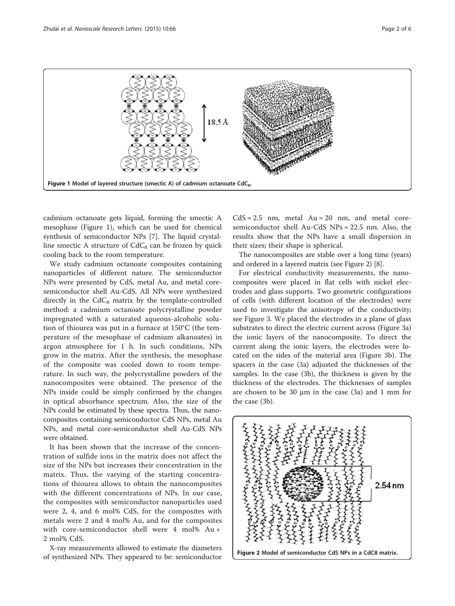



cadmium octanoate gets liquid, forming the smectic A mesophase (Figure 1), which can be used for chemical synthesis of semiconductor NPs [\[7](#page-5-0)]. The liquid crystalline smectic A structure of  $CdC_8$  can be frozen by quick cooling back to the room temperature.

We study cadmium octanoate composites containing nanoparticles of different nature. The semiconductor NPs were presented by CdS, metal Au, and metal coresemiconductor shell Au-CdS. All NPs were synthesized directly in the  $CdC_8$  matrix by the template-controlled method: a cadmium octanoate polycrystalline powder impregnated with a saturated aqueous-alcoholic solution of thiourea was put in a furnace at 150°C (the temperature of the mesophase of cadmium alkanoates) in argon atmosphere for 1 h. In such conditions, NPs grow in the matrix. After the synthesis, the mesophase of the composite was cooled down to room temperature. In such way, the polycrystalline powders of the nanocomposites were obtained. The presence of the NPs inside could be simply confirmed by the changes in optical absorbance spectrum. Also, the size of the NPs could be estimated by these spectra. Thus, the nanocomposites containing semiconductor CdS NPs, metal Au NPs, and metal core-semiconductor shell Au-CdS NPs were obtained.

It has been shown that the increase of the concentration of sulfide ions in the matrix does not affect the size of the NPs but increases their concentration in the matrix. Thus, the varying of the starting concentrations of thiourea allows to obtain the nanocomposites with the different concentrations of NPs. In our case, the composites with semiconductor nanoparticles used were 2, 4, and 6 mol% CdS, for the composites with metals were 2 and 4 mol% Au, and for the composites with core-semiconductor shell were 4 mol% Au + 2 mol% CdS.

X-ray measurements allowed to estimate the diameters of synthesized NPs. They appeared to be: semiconductor

 $CdS \approx 2.5$  nm, metal Au  $\approx 20$  nm, and metal coresemiconductor shell Au-CdS NPs ≈ 22.5 nm. Also, the results show that the NPs have a small dispersion in their sizes; their shape is spherical.

The nanocomposites are stable over a long time (years) and ordered in a layered matrix (see Figure 2) [[8\]](#page-5-0).

For electrical conductivity measurements, the nanocomposites were placed in flat cells with nickel electrodes and glass supports. Two geometric configurations of cells (with different location of the electrodes) were used to investigate the anisotropy of the conductivity; see Figure [3.](#page-2-0) We placed the electrodes in a plane of glass substrates to direct the electric current across (Figure [3](#page-2-0)a) the ionic layers of the nanocomposite. To direct the current along the ionic layers, the electrodes were located on the sides of the material area (Figure [3](#page-2-0)b). The spacers in the case (3a) adjusted the thicknesses of the samples. In the case (3b), the thickness is given by the thickness of the electrodes. The thicknesses of samples are chosen to be 30 μm in the case (3a) and 1 mm for the case (3b).

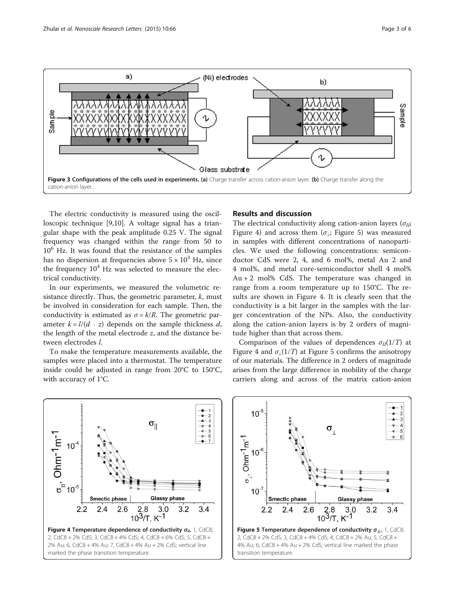<span id="page-2-0"></span>

The electric conductivity is measured using the oscilloscopic technique [\[9,10](#page-5-0)]. A voltage signal has a triangular shape with the peak amplitude 0.25 V. The signal frequency was changed within the range from 50 to  $10<sup>6</sup>$  Hz. It was found that the resistance of the samples has no dispersion at frequencies above  $5 \times 10^3$  Hz, since the frequency  $10^4$  Hz was selected to measure the electrical conductivity.

In our experiments, we measured the volumetric resistance directly. Thus, the geometric parameter,  $k$ , must be involved in consideration for each sample. Then, the conductivity is estimated as  $\sigma = k/R$ . The geometric parameter  $k = l/(d \cdot z)$  depends on the sample thickness d, the length of the metal electrode z, and the distance between electrodes l.

To make the temperature measurements available, the samples were placed into a thermostat. The temperature inside could be adjusted in range from 20°C to 150°C, with accuracy of 1°C.

#### Results and discussion

The electrical conductivity along cation-anion layers ( $\sigma_{II}$ ; Figure 4) and across them ( $\sigma_i$ ; Figure 5) was measured in samples with different concentrations of nanoparticles. We used the following concentrations: semiconductor CdS were 2, 4, and 6 mol%, metal Au 2 and 4 mol%, and metal core-semiconductor shell 4 mol%  $Au + 2$  mol% CdS. The temperature was changed in range from a room temperature up to 150°C. The results are shown in Figure 4. It is clearly seen that the conductivity is a bit larger in the samples with the larger concentration of the NPs. Also, the conductivity along the cation-anion layers is by 2 orders of magnitude higher than that across them.

Comparison of the values of dependences  $\sigma_{II}(1/T)$  at Figure 4 and  $\sigma$ <sub>⊥</sub>(1/*T*) at Figure 5 confirms the anisotropy of our materials. The difference in 2 orders of magnitude arises from the large difference in mobility of the charge carriers along and across of the matrix cation-anion



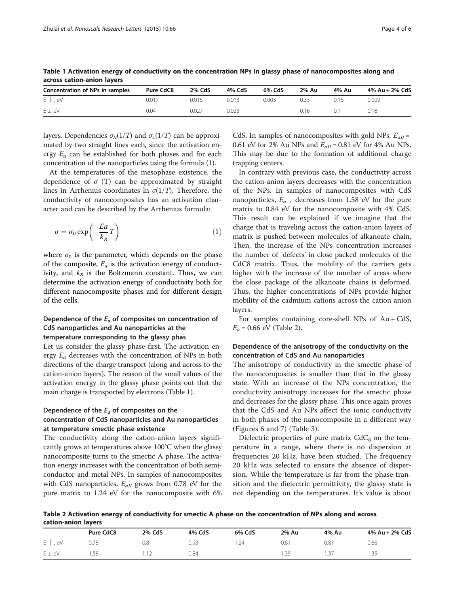| Concentration of NPs in samples | Pure CdC8 | 2% CdS | 4% CdS | 6% CdS | 2% Au | 4% Au | 4% Au + 2% CdS |  |
|---------------------------------|-----------|--------|--------|--------|-------|-------|----------------|--|
| $E \mid eV$                     | 0.017     | 0.015  | 0.013  | 0.003  | J.33  | 0.16  | 0.009          |  |
| $E \perp eV$                    | 0.04      | 0.027  | 0.023  |        | 0.16  | 0.1   | 0.18           |  |

Table 1 Activation energy of conductivity on the concentration NPs in glassy phase of nanocomposites along and across cation-anion layers

layers. Dependencies  $\sigma_{II}(1/T)$  and  $\sigma_{II}(1/T)$  can be approximated by two straight lines each, since the activation energy  $E_a$  can be established for both phases and for each concentration of the nanoparticles using the formula (1).

At the temperatures of the mesophase existence, the dependence of  $\sigma$  (T) can be approximated by straight lines in Arrhenius coordinates ln  $\sigma(1/T)$ . Therefore, the conductivity of nanocomposites has an activation character and can be described by the Arrhenius formula:

$$
\sigma = \sigma_0 \exp\left(-\frac{Ea}{k_B}T\right) \tag{1}
$$

where  $\sigma_0$  is the parameter, which depends on the phase of the composite,  $E_a$  is the activation energy of conductivity, and  $k_B$  is the Boltzmann constant. Thus, we can determine the activation energy of conductivity both for different nanocomposite phases and for different design of the cells.

## Dependence of the  $E_a$  of composites on concentration of CdS nanoparticles and Au nanoparticles at the temperature corresponding to the glassy phas

Let us consider the glassy phase first. The activation energy  $E_a$  decreases with the concentration of NPs in both directions of the charge transport (along and across to the cation-anion layers). The reason of the small values of the activation energy in the glassy phase points out that the main charge is transported by electrons (Table 1).

## Dependence of the  $E_a$  of composites on the concentration of CdS nanoparticles and Au nanoparticles at temperature smectic phase existence

The conductivity along the cation-anion layers significantly grows at temperatures above 100°C when the glassy nanocomposite turns to the smectic A phase. The activation energy increases with the concentration of both semiconductor and metal NPs. In samples of nanocomposites with CdS nanoparticles,  $E_{aII}$  grows from 0.78 eV for the pure matrix to 1.24 eV for the nanocomposite with 6%

CdS. In samples of nanocomposites with gold NPs,  $E_{all}$  = 0.61 eV for 2% Au NPs and  $E_{aII} = 0.81$  eV for 4% Au NPs. This may be due to the formation of additional charge trapping centers.

In contrary with previous case, the conductivity across the cation-anion layers decreases with the concentration of the NPs. In samples of nanocomposites with CdS nanoparticles,  $E_{a}$   $\beta$  decreases from 1.58 eV for the pure matrix to 0.84 eV for the nanocomposite with 4% CdS. This result can be explained if we imagine that the charge that is traveling across the cation-anion layers of matrix is pushed between molecules of alkanoate chain. Then, the increase of the NPs concentration increases the number of 'defects' in close packed molecules of the CdC8 matrix. Thus, the mobility of the carriers gets higher with the increase of the number of areas where the close package of the alkanoate chains is deformed. Thus, the higher concentrations of NPs provide higher mobility of the cadmium cations across the cation anion layers.

For samples containing core-shell NPs of  $Au + CdS$ ,  $E_a = 0.66$  eV (Table 2).

## Dependence of the anisotropy of the conductivity on the concentration of CdS and Au nanoparticles

The anisotropy of conductivity in the smectic phase of the nanocomposites is smaller than that in the glassy state. With an increase of the NPs concentration, the conductivity anisotropy increases for the smectic phase and decreases for the glassy phase. This once again proves that the CdS and Au NPs affect the ionic conductivity in both phases of the nanocomposite in a different way (Figures [6](#page-4-0) and [7](#page-4-0)) (Table [3](#page-4-0)).

Dielectric properties of pure matrix  $CdC_8$  on the temperature in a range, where there is no dispersion at frequencies 20 kHz, have been studied. The frequency 20 kHz was selected to ensure the absence of dispersion. While the temperature is far from the phase transition and the dielectric permittivity, the glassy state is not depending on the temperatures. It's value is about

Table 2 Activation energy of conductivity for smectic A phase on the concentration of NPs along and across cation-anion layers

|             | Pure CdC8 | 2% CdS | 4% CdS | 6% CdS | 2% Au | 4% Au     | 4% Au + 2% CdS |
|-------------|-----------|--------|--------|--------|-------|-----------|----------------|
| $E \mid eV$ | 0.78      | 0.8    | 0.93   | .24    | 0.61  | 0.81      | 0.66           |
| E L, eV     | .58       |        | 0.84   |        | .35   | -27<br>ے، | .35            |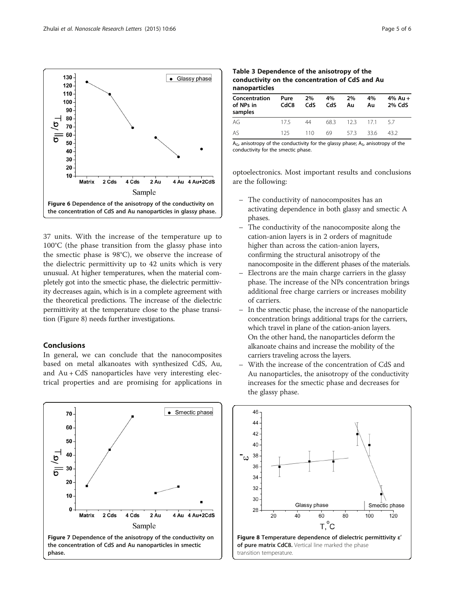<span id="page-4-0"></span>

37 units. With the increase of the temperature up to 100°C (the phase transition from the glassy phase into the smectic phase is 98°C), we observe the increase of the dielectric permittivity up to 42 units which is very unusual. At higher temperatures, when the material completely got into the smectic phase, the dielectric permittivity decreases again, which is in a complete agreement with the theoretical predictions. The increase of the dielectric permittivity at the temperature close to the phase transition (Figure 8) needs further investigations.

#### Conclusions

In general, we can conclude that the nanocomposites based on metal alkanoates with synthesized CdS, Au, and Au + CdS nanoparticles have very interesting electrical properties and are promising for applications in



Table 3 Dependence of the anisotropy of the conductivity on the concentration of CdS and Au nanoparticles

| nanoparacies                          |              |           |           |          |          |                   |  |  |
|---------------------------------------|--------------|-----------|-----------|----------|----------|-------------------|--|--|
| Concentration<br>of NPs in<br>samples | Pure<br>CdC8 | 2%<br>CdS | 4%<br>CdS | 2%<br>Au | 4%<br>Au | 4% Au +<br>2% CdS |  |  |
| AG                                    | 175          | 44        | 683       | 123      | 171      | 57                |  |  |
| AS                                    | 125          | 110       | 69        | 573      | 33.6     | 432               |  |  |

 $A_{G}$ , anisotropy of the conductivity for the glassy phase;  $A_{S}$ , anisotropy of the conductivity for the smectic phase.

optoelectronics. Most important results and conclusions are the following:

- The conductivity of nanocomposites has an activating dependence in both glassy and smectic A phases.
- The conductivity of the nanocomposite along the cation-anion layers is in 2 orders of magnitude higher than across the cation-anion layers, confirming the structural anisotropy of the nanocomposite in the different phases of the materials.
- Electrons are the main charge carriers in the glassy phase. The increase of the NPs concentration brings additional free charge carriers or increases mobility of carriers.
- In the smectic phase, the increase of the nanoparticle concentration brings additional traps for the carriers, which travel in plane of the cation-anion layers. On the other hand, the nanoparticles deform the alkanoate chains and increase the mobility of the carriers traveling across the layers.
- With the increase of the concentration of CdS and Au nanoparticles, the anisotropy of the conductivity increases for the smectic phase and decreases for the glassy phase.